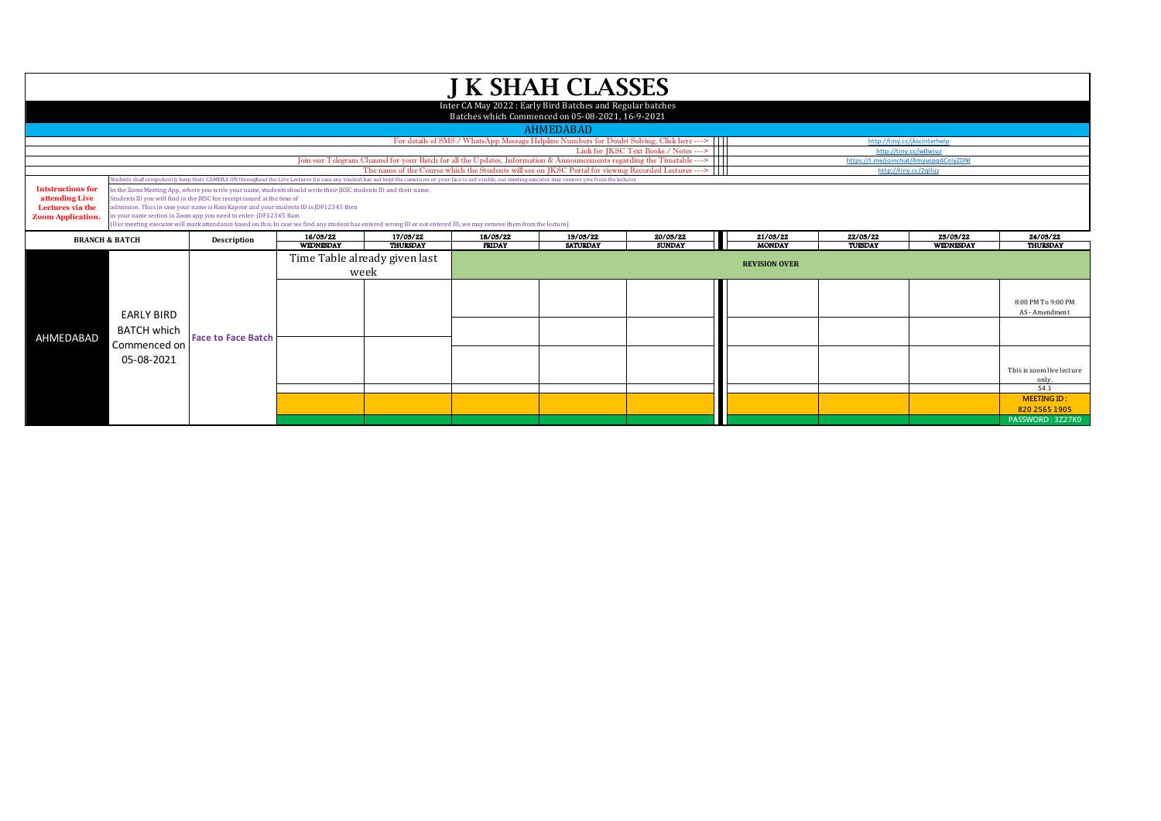| <b>J K SHAH CLASSES</b>                                                                    |                                                                                                                                                                                                                                                                                                                                                                                                                                                                                                                                                                                                                                                                                                                                                 |                           |                              |                                       |                           |                                                                                                      |                           |                           |                     |                       |                                                                                                          |  |  |
|--------------------------------------------------------------------------------------------|-------------------------------------------------------------------------------------------------------------------------------------------------------------------------------------------------------------------------------------------------------------------------------------------------------------------------------------------------------------------------------------------------------------------------------------------------------------------------------------------------------------------------------------------------------------------------------------------------------------------------------------------------------------------------------------------------------------------------------------------------|---------------------------|------------------------------|---------------------------------------|---------------------------|------------------------------------------------------------------------------------------------------|---------------------------|---------------------------|---------------------|-----------------------|----------------------------------------------------------------------------------------------------------|--|--|
|                                                                                            | Inter CA May 2022: Early Bird Batches and Regular batches<br>Batches which Commenced on 05-08-2021, 16-9-2021                                                                                                                                                                                                                                                                                                                                                                                                                                                                                                                                                                                                                                   |                           |                              |                                       |                           |                                                                                                      |                           |                           |                     |                       |                                                                                                          |  |  |
|                                                                                            | <b>AHMEDABAD</b>                                                                                                                                                                                                                                                                                                                                                                                                                                                                                                                                                                                                                                                                                                                                |                           |                              |                                       |                           |                                                                                                      |                           |                           |                     |                       |                                                                                                          |  |  |
|                                                                                            | For details of SMS / WhatsApp Message Helpline Numbers for Doubt Solving, Click here --->    <br>http://tiny.cc/jkscinterhelp                                                                                                                                                                                                                                                                                                                                                                                                                                                                                                                                                                                                                   |                           |                              |                                       |                           |                                                                                                      |                           |                           |                     |                       |                                                                                                          |  |  |
|                                                                                            | Link for JKSC Text Books / Notes ---><br>http://tiny.cc/w0wjuz<br>Join our Telegram Channel for your Batch for all the Updates, Information & Announcements regarding the Timetable ---><br>https://t.me/joinchat/4mysopq4CnIyZDNI                                                                                                                                                                                                                                                                                                                                                                                                                                                                                                              |                           |                              |                                       |                           |                                                                                                      |                           |                           |                     |                       |                                                                                                          |  |  |
|                                                                                            |                                                                                                                                                                                                                                                                                                                                                                                                                                                                                                                                                                                                                                                                                                                                                 |                           |                              |                                       |                           | The name of the Course which the Students will see on JKSC Portal for viewing Recorded Lectures ---> |                           |                           |                     | http://tiny.cc/2qlluz |                                                                                                          |  |  |
|                                                                                            |                                                                                                                                                                                                                                                                                                                                                                                                                                                                                                                                                                                                                                                                                                                                                 |                           |                              |                                       |                           |                                                                                                      |                           |                           |                     |                       |                                                                                                          |  |  |
| <b>Intstructions for</b><br>attending Live<br>Lectures via the<br><b>Zoom Application.</b> | udents shall compulsorily keep their CAMERA ON throughout the Live Lectures (in case any student has not kept the camera on or your face is not visible, our meeting executor may remove you from the lecture)<br>In the Zoom Meeting App, where you write your name, students should write their JKSC students ID and their name.<br>Students ID you will find in the JKSC fee receipt issued at the time of<br>admission. Thus in case your name is Ram Kapoor and your students ID is JDF12345 then<br>in your name section in Zoom app you need to enter-JDF12345 Ram<br>(Our meeting executor will mark attendance based on this. In case we find any student has entered wrong ID or not entered ID, we may remove them from the lecture) |                           |                              |                                       |                           |                                                                                                      |                           |                           |                     |                       |                                                                                                          |  |  |
|                                                                                            | <b>BRANCH &amp; BATCH</b>                                                                                                                                                                                                                                                                                                                                                                                                                                                                                                                                                                                                                                                                                                                       | Description               | 16/03/22<br><b>WEDNESDAY</b> | 17/03/22<br><b>THURSDAY</b>           | 18/03/22<br><b>FRIDAY</b> | 19/03/22<br><b>SATURDAY</b>                                                                          | 20/03/22<br><b>SUNDAY</b> | 21/03/22<br><b>MONDAY</b> | 22/03/22<br>TUESDAY | 23/03/22<br>WEDNESDAY | 24/03/22<br><b>THURSDAY</b>                                                                              |  |  |
|                                                                                            |                                                                                                                                                                                                                                                                                                                                                                                                                                                                                                                                                                                                                                                                                                                                                 |                           |                              | Time Table already given last<br>week |                           |                                                                                                      |                           | <b>REVISION OVER</b>      |                     |                       |                                                                                                          |  |  |
| AHMEDABAD                                                                                  | <b>EARLY BIRD</b><br><b>BATCH which</b><br>Commenced on<br>05-08-2021                                                                                                                                                                                                                                                                                                                                                                                                                                                                                                                                                                                                                                                                           | <b>Face to Face Batch</b> |                              |                                       |                           |                                                                                                      |                           |                           |                     |                       | 8:00 PM To 9:00 PM<br>AS - Amendment<br>This is zoom live lecture<br>only.<br>54.1<br><b>MEETING ID:</b> |  |  |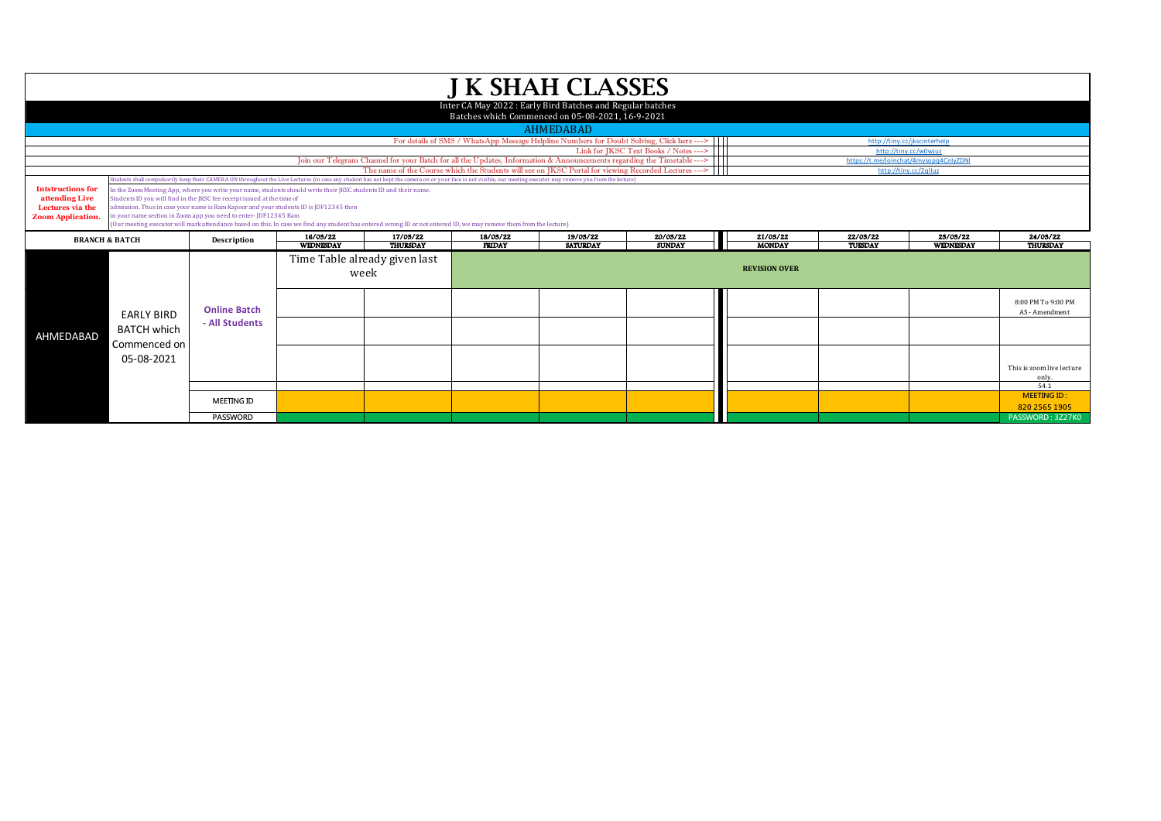| <b>J K SHAH CLASSES</b>                                                                                                   |                                                                                                                                                                                                                                                                                                                                                                                                                                                                                                                                                                                                                                                                                                                                               |                     |                  |                                                                                                      |               |                  |               |                      |          |                       |                                             |  |  |
|---------------------------------------------------------------------------------------------------------------------------|-----------------------------------------------------------------------------------------------------------------------------------------------------------------------------------------------------------------------------------------------------------------------------------------------------------------------------------------------------------------------------------------------------------------------------------------------------------------------------------------------------------------------------------------------------------------------------------------------------------------------------------------------------------------------------------------------------------------------------------------------|---------------------|------------------|------------------------------------------------------------------------------------------------------|---------------|------------------|---------------|----------------------|----------|-----------------------|---------------------------------------------|--|--|
| Inter CA May 2022: Early Bird Batches and Regular batches<br>Batches which Commenced on 05-08-2021, 16-9-2021             |                                                                                                                                                                                                                                                                                                                                                                                                                                                                                                                                                                                                                                                                                                                                               |                     |                  |                                                                                                      |               |                  |               |                      |          |                       |                                             |  |  |
|                                                                                                                           |                                                                                                                                                                                                                                                                                                                                                                                                                                                                                                                                                                                                                                                                                                                                               |                     |                  |                                                                                                      |               | <b>AHMEDABAD</b> |               |                      |          |                       |                                             |  |  |
| For details of SMS / WhatsApp Message Helpline Numbers for Doubt Solving, Click here ---><br>http://tiny.cc/jkscinterhelp |                                                                                                                                                                                                                                                                                                                                                                                                                                                                                                                                                                                                                                                                                                                                               |                     |                  |                                                                                                      |               |                  |               |                      |          |                       |                                             |  |  |
|                                                                                                                           | Link for JKSC Text Books / Notes ---><br>http://tinv.cc/w0wiuz<br>Join our Telegram Channel for your Batch for all the Updates, Information & Announcements regarding the Timetable ---><br>https://t.me/ioinchat/4mysopg4CnIvZDNI                                                                                                                                                                                                                                                                                                                                                                                                                                                                                                            |                     |                  |                                                                                                      |               |                  |               |                      |          |                       |                                             |  |  |
|                                                                                                                           |                                                                                                                                                                                                                                                                                                                                                                                                                                                                                                                                                                                                                                                                                                                                               |                     |                  | The name of the Course which the Students will see on JKSC Portal for viewing Recorded Lectures ---> |               |                  |               |                      |          | http://tiny.cc/2qlluz |                                             |  |  |
|                                                                                                                           |                                                                                                                                                                                                                                                                                                                                                                                                                                                                                                                                                                                                                                                                                                                                               |                     |                  |                                                                                                      |               |                  |               |                      |          |                       |                                             |  |  |
| <b>Intstructions for</b><br>attending Live<br>Lectures via the<br><b>Zoom Application.</b>                                | udents shall compulsorily keep their CAMERA ON throughout the Live Lectures (in case any student has not kept the camera on or your face is not yisible, our meeting executor may remove you from the lecture)<br>In the Zoom Meeting App, where you write your name, students should write their JKSC students ID and their name.<br>Students ID you will find in the JKSC fee receipt issued at the time of<br>dmission. Thus in case your name is Ram Kapoor and your students ID is JDF12345 then<br>n your name section in Zoom app you need to enter-JDF12345 Ram<br>(Our meeting executor will mark attendance based on this. In case we find any student has entered wrong ID or not entered ID, we may remove them from the lecture) |                     |                  |                                                                                                      |               |                  |               |                      |          |                       |                                             |  |  |
|                                                                                                                           | 16/03/22<br>17/03/22<br>18/03/22<br>19/03/22<br>20/03/22<br><b>BRANCH &amp; BATCH</b><br>Description                                                                                                                                                                                                                                                                                                                                                                                                                                                                                                                                                                                                                                          |                     |                  |                                                                                                      |               | 21/03/22         | 22/03/22      | 23/03/22             | 24/03/22 |                       |                                             |  |  |
|                                                                                                                           |                                                                                                                                                                                                                                                                                                                                                                                                                                                                                                                                                                                                                                                                                                                                               |                     | <b>WEDNESDAY</b> | <b>THURSDAY</b>                                                                                      | <b>FRIDAY</b> | <b>SATURDAY</b>  | <b>SUNDAY</b> | <b>MONDAY</b>        | TUESDAY  | WEDNESDAY             | THURSDAY                                    |  |  |
|                                                                                                                           |                                                                                                                                                                                                                                                                                                                                                                                                                                                                                                                                                                                                                                                                                                                                               |                     |                  | Time Table already given last<br>week                                                                |               |                  |               | <b>REVISION OVER</b> |          |                       |                                             |  |  |
|                                                                                                                           |                                                                                                                                                                                                                                                                                                                                                                                                                                                                                                                                                                                                                                                                                                                                               | <b>Online Batch</b> |                  |                                                                                                      |               |                  |               |                      |          |                       | 8:00 PM To 9:00 PM<br>AS - Amendment        |  |  |
| AHMEDABAD                                                                                                                 | <b>EARLY BIRD</b><br><b>BATCH which</b>                                                                                                                                                                                                                                                                                                                                                                                                                                                                                                                                                                                                                                                                                                       | - All Students      |                  |                                                                                                      |               |                  |               |                      |          |                       |                                             |  |  |
|                                                                                                                           | Commenced on<br>05-08-2021                                                                                                                                                                                                                                                                                                                                                                                                                                                                                                                                                                                                                                                                                                                    |                     |                  |                                                                                                      |               |                  |               |                      |          |                       | This is zoom live lecture<br>only.          |  |  |
|                                                                                                                           |                                                                                                                                                                                                                                                                                                                                                                                                                                                                                                                                                                                                                                                                                                                                               | <b>MEETING ID</b>   |                  |                                                                                                      |               |                  |               |                      |          |                       | 54.1<br><b>MEETING ID:</b><br>820 2565 1905 |  |  |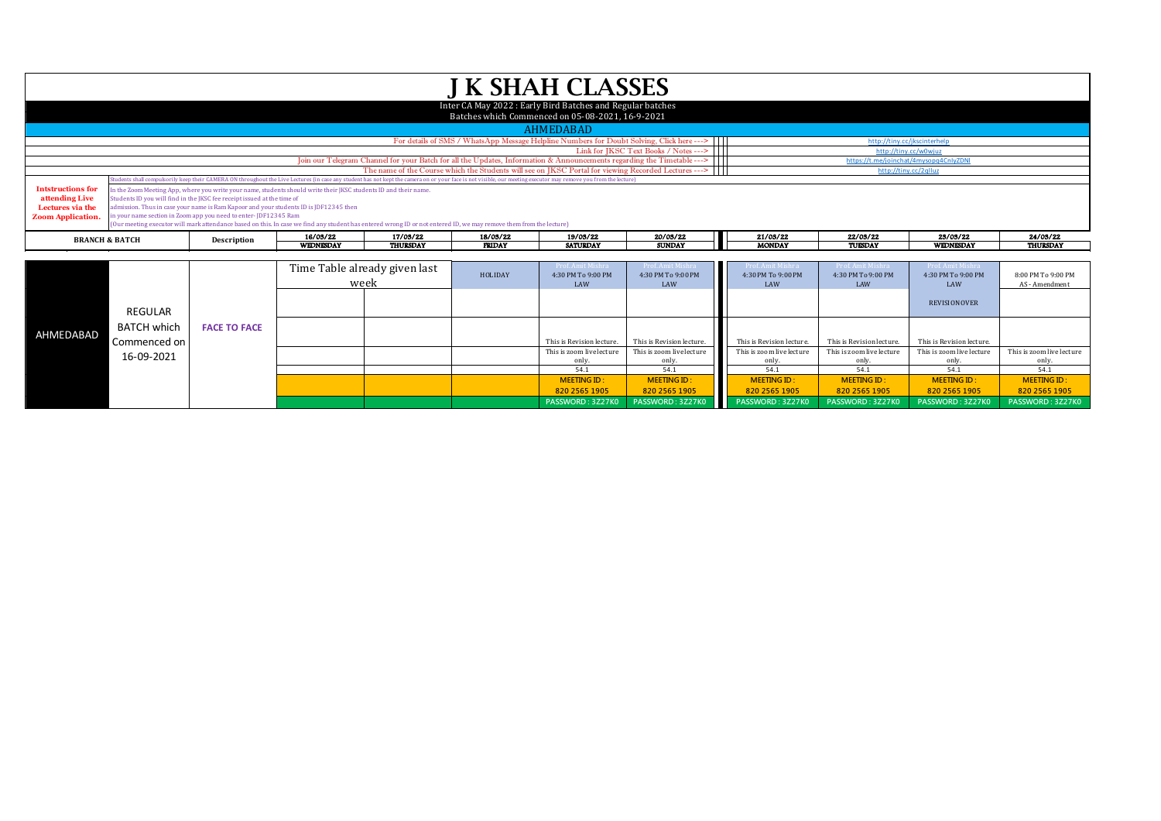| <b>J K SHAH CLASSES</b>                                                                                                                                                                                                                                           |                                                                                                               |                                                                                       |                                                                                                                       |                                                                                           |               |                                                                                                                                                                                                                  |                                                                                                      |               |          |                                        |                 |  |
|-------------------------------------------------------------------------------------------------------------------------------------------------------------------------------------------------------------------------------------------------------------------|---------------------------------------------------------------------------------------------------------------|---------------------------------------------------------------------------------------|-----------------------------------------------------------------------------------------------------------------------|-------------------------------------------------------------------------------------------|---------------|------------------------------------------------------------------------------------------------------------------------------------------------------------------------------------------------------------------|------------------------------------------------------------------------------------------------------|---------------|----------|----------------------------------------|-----------------|--|
|                                                                                                                                                                                                                                                                   | Inter CA May 2022: Early Bird Batches and Regular batches<br>Batches which Commenced on 05-08-2021, 16-9-2021 |                                                                                       |                                                                                                                       |                                                                                           |               |                                                                                                                                                                                                                  |                                                                                                      |               |          |                                        |                 |  |
|                                                                                                                                                                                                                                                                   |                                                                                                               |                                                                                       |                                                                                                                       |                                                                                           |               | <b>AHMEDABAD</b>                                                                                                                                                                                                 |                                                                                                      |               |          |                                        |                 |  |
|                                                                                                                                                                                                                                                                   |                                                                                                               |                                                                                       |                                                                                                                       | For details of SMS / WhatsApp Message Helpline Numbers for Doubt Solving, Click here ---> |               |                                                                                                                                                                                                                  | http://tiny.cc/jkscinterhelp                                                                         |               |          |                                        |                 |  |
|                                                                                                                                                                                                                                                                   |                                                                                                               |                                                                                       |                                                                                                                       | Link for IKSC Text Books / Notes --->                                                     |               |                                                                                                                                                                                                                  | http://tiny.cc/w0wjuz                                                                                |               |          |                                        |                 |  |
| Join our Telegram Channel for your Batch for all the Updates, Information & Announcements regarding the Timetable --->                                                                                                                                            |                                                                                                               |                                                                                       |                                                                                                                       |                                                                                           |               |                                                                                                                                                                                                                  |                                                                                                      |               |          | https://t.me/joinchat/4mysopq4CnIyZDNI |                 |  |
|                                                                                                                                                                                                                                                                   |                                                                                                               |                                                                                       |                                                                                                                       |                                                                                           |               |                                                                                                                                                                                                                  | The name of the Course which the Students will see on JKSC Portal for viewing Recorded Lectures ---> |               |          | http://tiny.cc/2qlluz                  |                 |  |
|                                                                                                                                                                                                                                                                   |                                                                                                               |                                                                                       |                                                                                                                       |                                                                                           |               | Students shall compulsorily keep their CAMERA ON throughout the Live Lectures (in case any student has not kept the camera on or your face is not visible, our meeting executor may remove you from the lecture) |                                                                                                      |               |          |                                        |                 |  |
| <b>Intstructions for</b>                                                                                                                                                                                                                                          |                                                                                                               |                                                                                       | In the Zoom Meeting App, where you write your name, students should write their JKSC students ID and their name.      |                                                                                           |               |                                                                                                                                                                                                                  |                                                                                                      |               |          |                                        |                 |  |
| attending Live                                                                                                                                                                                                                                                    |                                                                                                               | Students ID you will find in the JKSC fee receipt issued at the time of               |                                                                                                                       |                                                                                           |               |                                                                                                                                                                                                                  |                                                                                                      |               |          |                                        |                 |  |
| Lectures via the                                                                                                                                                                                                                                                  |                                                                                                               | admission. Thus in case your name is Ram Kapoor and your students ID is JDF12345 then |                                                                                                                       |                                                                                           |               |                                                                                                                                                                                                                  |                                                                                                      |               |          |                                        |                 |  |
| in your name section in Zoom app you need to enter-JDF12345 Ram<br><b>Zoom Application.</b><br>(Our meeting executor will mark attendance based on this. In case we find any student has entered wrong ID or not entered ID, we may remove them from the lecture) |                                                                                                               |                                                                                       |                                                                                                                       |                                                                                           |               |                                                                                                                                                                                                                  |                                                                                                      |               |          |                                        |                 |  |
|                                                                                                                                                                                                                                                                   | <b>BRANCH &amp; BATCH</b>                                                                                     | Description                                                                           | 16/03/22                                                                                                              | 17/03/22                                                                                  | 18/03/22      | 19/03/22                                                                                                                                                                                                         | 20/03/22                                                                                             | 21/03/22      | 22/03/22 | 23/03/22                               | 24/03/22        |  |
|                                                                                                                                                                                                                                                                   |                                                                                                               |                                                                                       | <b>WEDNESDAY</b>                                                                                                      | <b>THURSDAY</b>                                                                           | <b>FRIDAY</b> | <b>SATURDAY</b>                                                                                                                                                                                                  | <b>SUNDAY</b>                                                                                        | <b>MONDAY</b> | TUESDAY  | <b>WEDNESDAY</b>                       | <b>THURSDAY</b> |  |
|                                                                                                                                                                                                                                                                   |                                                                                                               |                                                                                       |                                                                                                                       |                                                                                           |               |                                                                                                                                                                                                                  |                                                                                                      |               |          |                                        |                 |  |
|                                                                                                                                                                                                                                                                   |                                                                                                               |                                                                                       | $\mathbf{m}$ . $\mathbf{m}$ . $\mathbf{1}$ . $\mathbf{1}$ . $\mathbf{1}$ . $\mathbf{1}$ . $\mathbf{1}$ . $\mathbf{1}$ |                                                                                           |               |                                                                                                                                                                                                                  |                                                                                                      |               |          | <b><i>SAMIRATION</i></b>               |                 |  |

|           |                                                  |                     | Time Table already given last<br>week |  | HOLIDAY | Prof. Amit Mishra<br>4:30 PM To 9:00 PM<br>LAW | Prof. Amit Mishra<br>4:30 PM To 9:00 PM<br>LAW | Prof. Amit Mishra<br>4:30 PM To 9:00 PM<br>LAW | Prof. Amit Mishra<br>4:30 PM To 9:00 PM<br>LAW | Prof. Amit Mishra<br>4:30 PM To 9:00 PM<br>LAW | 8:00 PM To 9:00 PM<br>AS - Amendment |
|-----------|--------------------------------------------------|---------------------|---------------------------------------|--|---------|------------------------------------------------|------------------------------------------------|------------------------------------------------|------------------------------------------------|------------------------------------------------|--------------------------------------|
|           | REGULAR                                          | <b>FACE TO FACE</b> |                                       |  |         |                                                |                                                |                                                |                                                | <b>REVISION OVER</b>                           |                                      |
| AHMEDABAD | <b>BATCH which</b><br>Commenced on<br>16-09-2021 |                     |                                       |  |         |                                                |                                                |                                                |                                                |                                                |                                      |
|           |                                                  |                     |                                       |  |         | This is Revision lecture.                      | This is Revision lecture.                      | This is Revision lecture.                      | This is Revision lecture.                      | This is Revision lecture.                      |                                      |
|           |                                                  |                     |                                       |  |         | This is zoom live lecture                      | This is zoom live lecture                      | This is zoom live lecture                      | This is zoom live lecture                      | This is zoom live lecture                      | This is zoom live lecture            |
|           |                                                  |                     |                                       |  |         | only.                                          | only.                                          | only.                                          | only                                           | only.                                          | only.                                |
|           |                                                  |                     |                                       |  |         | 54.1                                           | 54.1                                           | 54.1                                           | 54.1                                           | 54.1                                           | 54.1                                 |
|           |                                                  |                     |                                       |  |         | <b>MEETING ID:</b>                             | <b>MEETING ID:</b>                             | <b>MEETING ID:</b>                             | <b>MEETING ID:</b>                             | <b>MEETING ID:</b>                             | <b>MEETING ID:</b>                   |
|           |                                                  |                     |                                       |  |         | 820 2565 1905                                  | 820 2565 1905                                  | 820 2565 1905                                  | 820 2565 1905                                  | 820 2565 1905                                  | 820 2565 1905                        |
|           |                                                  |                     |                                       |  |         | PASSWORD: 3Z27K0                               | PASSWORD: 3Z27K0                               | PASSWORD: 3Z27K0                               | PASSWORD: 3Z27K0                               | PASSWORD: 3Z27K0                               | PASSWORD: 3Z27K0                     |